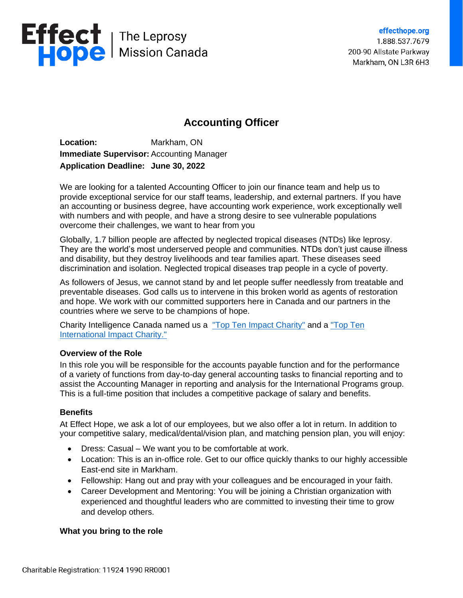

## **Accounting Officer**

**Location:** Markham, ON **Immediate Supervisor:** Accounting Manager **Application Deadline: June 30, 2022**

We are looking for a talented Accounting Officer to join our finance team and help us to provide exceptional service for our staff teams, leadership, and external partners. If you have an accounting or business degree, have accounting work experience, work exceptionally well with numbers and with people, and have a strong desire to see vulnerable populations overcome their challenges, we want to hear from you

Globally, 1.7 billion people are affected by neglected tropical diseases (NTDs) like leprosy. They are the world's most underserved people and communities. NTDs don't just cause illness and disability, but they destroy livelihoods and tear families apart. These diseases seed discrimination and isolation. Neglected tropical diseases trap people in a cycle of poverty.

As followers of Jesus, we cannot stand by and let people suffer needlessly from treatable and preventable diseases. God calls us to intervene in this broken world as agents of restoration and hope. We work with our committed supporters here in Canada and our partners in the countries where we serve to be champions of hope.

Charity Intelligence Canada named us a ["Top Ten Impact Charity"](https://www.charityintelligence.ca/giving-with-impact/top-impact-charities) and a ["Top Ten](https://www.charityintelligence.ca/giving-with-impact/top-impact-charities?view=article&id=675&catid=37)  [International Impact Charity."](https://www.charityintelligence.ca/giving-with-impact/top-impact-charities?view=article&id=675&catid=37)

## **Overview of the Role**

In this role you will be responsible for the accounts payable function and for the performance of a variety of functions from day-to-day general accounting tasks to financial reporting and to assist the Accounting Manager in reporting and analysis for the International Programs group. This is a full-time position that includes a competitive package of salary and benefits.

## **Benefits**

At Effect Hope, we ask a lot of our employees, but we also offer a lot in return. In addition to your competitive salary, medical/dental/vision plan, and matching pension plan, you will enjoy:

- Dress: Casual We want you to be comfortable at work.
- Location: This is an in-office role. Get to our office quickly thanks to our highly accessible East-end site in Markham.
- Fellowship: Hang out and pray with your colleagues and be encouraged in your faith.
- Career Development and Mentoring: You will be joining a Christian organization with experienced and thoughtful leaders who are committed to investing their time to grow and develop others.

## **What you bring to the role**